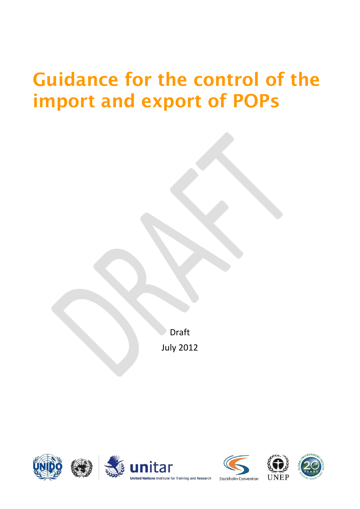# **Guidance for the control of the import and export of POPs**

Draft July 2012





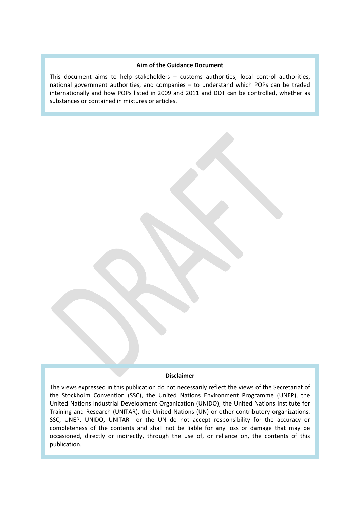#### **Aim of the Guidance Document**

This document aims to help stakeholders – customs authorities, local control authorities, national government authorities, and companies – to understand which POPs can be traded internationally and how POPs listed in 2009 and 2011 and DDT can be controlled, whether as substances or contained in mixtures or articles.

#### **Disclaimer**

The views expressed in this publication do not necessarily reflect the views of the Secretariat of the Stockholm Convention (SSC), the United Nations Environment Programme (UNEP), the United Nations Industrial Development Organization (UNIDO), the United Nations Institute for Training and Research (UNITAR), the United Nations (UN) or other contributory organizations. SSC, UNEP, UNIDO, UNITAR or the UN do not accept responsibility for the accuracy or completeness of the contents and shall not be liable for any loss or damage that may be occasioned, directly or indirectly, through the use of, or reliance on, the contents of this publication.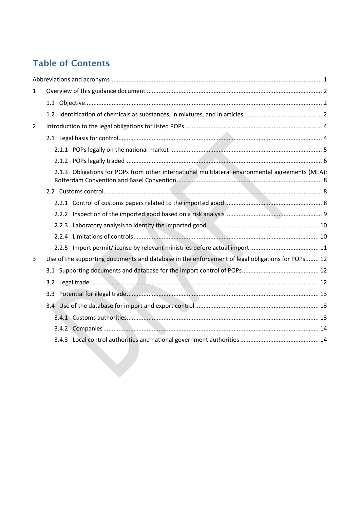# **Table of Contents**

| 2.1.3 Obligations for POPs from other international multilateral environmental agreements (MEA):<br>Use of the supporting documents and database in the enforcement of legal obligations for POPs 12 |
|------------------------------------------------------------------------------------------------------------------------------------------------------------------------------------------------------|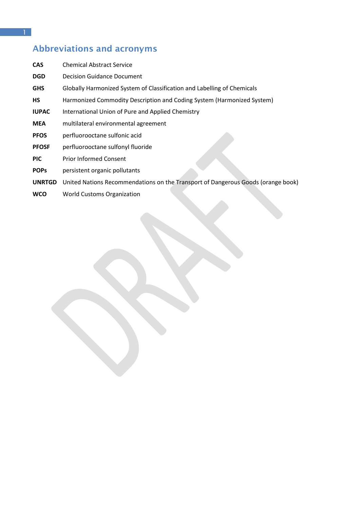# <span id="page-4-0"></span>**Abbreviations and acronyms**

| <b>CAS</b>    | <b>Chemical Abstract Service</b>                                                 |
|---------------|----------------------------------------------------------------------------------|
| <b>DGD</b>    | <b>Decision Guidance Document</b>                                                |
| <b>GHS</b>    | Globally Harmonized System of Classification and Labelling of Chemicals          |
| <b>HS</b>     | Harmonized Commodity Description and Coding System (Harmonized System)           |
| <b>IUPAC</b>  | International Union of Pure and Applied Chemistry                                |
| <b>MEA</b>    | multilateral environmental agreement                                             |
| <b>PFOS</b>   | perfluorooctane sulfonic acid                                                    |
| <b>PFOSF</b>  | perfluorooctane sulfonyl fluoride                                                |
| <b>PIC</b>    | <b>Prior Informed Consent</b>                                                    |
| <b>POPs</b>   | persistent organic pollutants                                                    |
| <b>UNRTGD</b> | United Nations Recommendations on the Transport of Dangerous Goods (orange book) |
|               |                                                                                  |

**WCO** World Customs Organization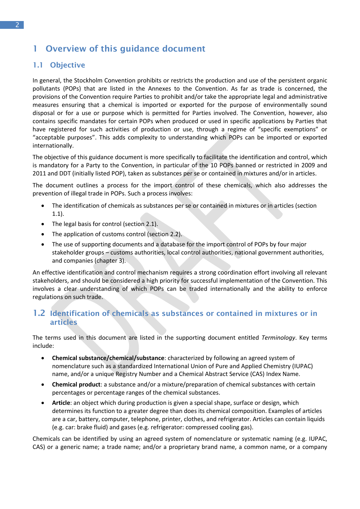# <span id="page-5-0"></span>**1 Overview of this guidance document**

## <span id="page-5-1"></span>**1.1 Objective**

In general, the Stockholm Convention prohibits or restricts the production and use of the persistent organic pollutants (POPs) that are listed in the Annexes to the Convention. As far as trade is concerned, the provisions of the Convention require Parties to prohibit and/or take the appropriate legal and administrative measures ensuring that a chemical is imported or exported for the purpose of environmentally sound disposal or for a use or purpose which is permitted for Parties involved. The Convention, however, also contains specific mandates for certain POPs when produced or used in specific applications by Parties that have registered for such activities of production or use, through a regime of "specific exemptions" or "acceptable purposes". This adds complexity to understanding which POPs can be imported or exported internationally.

The objective of this guidance document is more specifically to facilitate the identification and control, which is mandatory for a Party to the Convention, in particular of the 10 POPs banned or restricted in 2009 and 2011 and DDT (initially listed POP), taken as substances per se or contained in mixtures and/or in articles.

The document outlines a process for the import control of these chemicals, which also addresses the prevention of illegal trade in POPs. Such a process involves:

- The identification of chemicals as substances per se or contained in mixtures or in articles (section 1.1).
- The legal basis for control (section 2.1).
- The application of customs control (section 2.2).
- The use of supporting documents and a database for the import control of POPs by four major stakeholder groups – customs authorities, local control authorities, national government authorities, and companies (chapter 3).

An effective identification and control mechanism requires a strong coordination effort involving all relevant stakeholders, and should be considered a high priority for successful implementation of the Convention. This involves a clear understanding of which POPs can be traded internationally and the ability to enforce regulations on such trade.

## <span id="page-5-2"></span>**1.2 Identification of chemicals as substances or contained in mixtures or in articles**

The terms used in this document are listed in the supporting document entitled *Terminology*. Key terms include:

- **Chemical substance/chemical/substance**: characterized by following an agreed system of nomenclature such as a standardized International Union of Pure and Applied Chemistry (IUPAC) name, and/or a unique Registry Number and a Chemical Abstract Service (CAS) Index Name.
- **Chemical product**: a substance and/or a mixture/preparation of chemical substances with certain percentages or percentage ranges of the chemical substances.
- **Article**: an object which during production is given a special shape, surface or design, which determines its function to a greater degree than does its chemical composition. Examples of articles are a car, battery, computer, telephone, printer, clothes, and refrigerator. Articles can contain liquids (e.g. car: brake fluid) and gases (e.g. refrigerator: compressed cooling gas).

Chemicals can be identified by using an agreed system of nomenclature or systematic naming (e.g. IUPAC, CAS) or a generic name; a trade name; and/or a proprietary brand name, a common name, or a company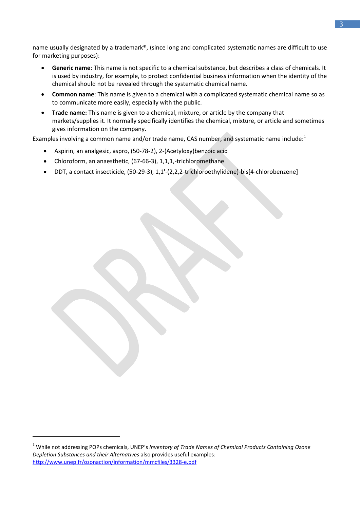name usually designated by a trademark®, (since long and complicated systematic names are difficult to use for marketing purposes):

- **Generic name**: This name is not specific to a chemical substance, but describes a class of chemicals. It is used by industry, for example, to protect confidential business information when the identity of the chemical should not be revealed through the systematic chemical name.
- **Common name**: This name is given to a chemical with a complicated systematic chemical name so as to communicate more easily, especially with the public.
- **Trade name:** This name is given to a chemical, mixture, or article by the company that markets/supplies it. It normally specifically identifies the chemical, mixture, or article and sometimes gives information on the company.

Examples involving a common name and/or trade name, CAS number, and systematic name include: $1$ 

- Aspirin, an analgesic, aspro, (50-78-2), 2-(Acetyloxy)benzoic acid
- Chloroform, an anaesthetic, (67-66-3), 1,1,1,-trichloromethane
- DDT, a contact insecticide, (50-29-3), 1,1'-(2,2,2-trichloroethylidene)-bis[4-chlorobenzene]

<sup>1</sup> While not addressing POPs chemicals, UNEP's *Inventory of Trade Names of Chemical Products Containing Ozone Depletion Substances and their Alternatives* also provides useful examples: <http://www.unep.fr/ozonaction/information/mmcfiles/3328-e.pdf>

1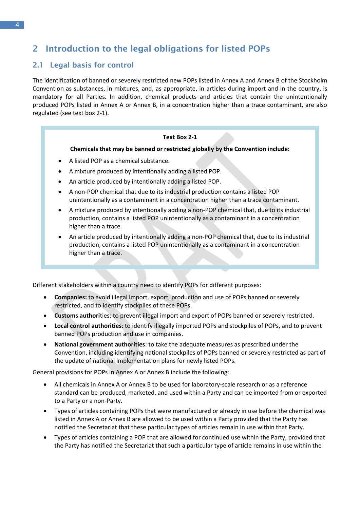# <span id="page-7-0"></span>**2 Introduction to the legal obligations for listed POPs**

## <span id="page-7-1"></span>**2.1 Legal basis for control**

The identification of banned or severely restricted new POPs listed in Annex A and Annex B of the Stockholm Convention as substances, in mixtures, and, as appropriate, in articles during import and in the country, is mandatory for all Parties. In addition, chemical products and articles that contain the unintentionally produced POPs listed in Annex A or Annex B, in a concentration higher than a trace contaminant, are also regulated (see text box 2-1).

#### **Text Box 2-1**

**Chemicals that may be banned or restricted globally by the Convention include:**

- A listed POP as a chemical substance.
- A mixture produced by intentionally adding a listed POP.
- An article produced by intentionally adding a listed POP.
- A non-POP chemical that due to its industrial production contains a listed POP unintentionally as a contaminant in a concentration higher than a trace contaminant.
- A mixture produced by intentionally adding a non-POP chemical that, due to its industrial production, contains a listed POP unintentionally as a contaminant in a concentration higher than a trace.
- An article produced by intentionally adding a non-POP chemical that, due to its industrial production, contains a listed POP unintentionally as a contaminant in a concentration higher than a trace.

Different stakeholders within a country need to identify POPs for different purposes:

- **Companies:** to avoid illegal import, export, production and use of POPs banned or severely restricted, and to identify stockpiles of these POPs.
- **Customs authori**ties: to prevent illegal import and export of POPs banned or severely restricted.
- **Local control authorities**: to identify illegally imported POPs and stockpiles of POPs, and to prevent banned POPs production and use in companies.
- **National government authorities**: to take the adequate measures as prescribed under the Convention, including identifying national stockpiles of POPs banned or severely restricted as part of the update of national implementation plans for newly listed POPs.

General provisions for POPs in Annex A or Annex B include the following:

- All chemicals in Annex A or Annex B to be used for laboratory-scale research or as a reference standard can be produced, marketed, and used within a Party and can be imported from or exported to a Party or a non-Party.
- Types of articles containing POPs that were manufactured or already in use before the chemical was listed in Annex A or Annex B are allowed to be used within a Party provided that the Party has notified the Secretariat that these particular types of articles remain in use within that Party.
- Types of articles containing a POP that are allowed for continued use within the Party, provided that the Party has notified the Secretariat that such a particular type of article remains in use within the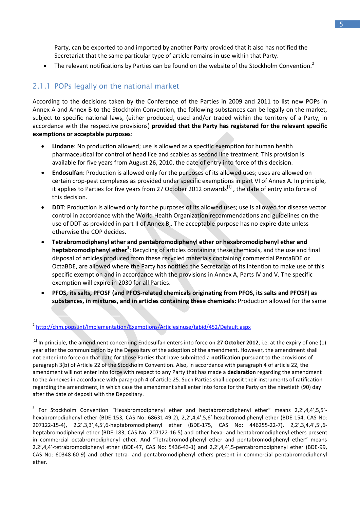Party, can be exported to and imported by another Party provided that it also has notified the Secretariat that the same particular type of article remains in use within that Party.

The relevant notifications by Parties can be found on the website of the Stockholm Convention.<sup>2</sup>

# <span id="page-8-0"></span>2.1.1 POPs legally on the national market

According to the decisions taken by the Conference of the Parties in 2009 and 2011 to list new POPs in Annex A and Annex B to the Stockholm Convention, the following substances can be legally on the market, subject to specific national laws, (either produced, used and/or traded within the territory of a Party, in accordance with the respective provisions) **provided that the Party has registered for the relevant specific exemptions or acceptable purposes**:

- **Lindane**: No production allowed; use is allowed as a specific exemption for human health pharmaceutical for control of head lice and scabies as second line treatment. This provision is available for five years from August 26, 2010, the date of entry into force of this decision.
- **Endosulfan**: Production is allowed only for the purposes of its allowed uses; uses are allowed on certain crop-pest complexes as provided under specific exemptions in part VI of Annex A. In principle, it applies to Parties for five years from 27 October 2012 onwards<sup>[1]</sup>, the date of entry into force of this decision.
- **DDT**: Production is allowed only for the purposes of its allowed uses; use is allowed for disease vector control in accordance with the World Health Organization recommendations and guidelines on the use of DDT as provided in part II of Annex B,. The acceptable purpose has no expire date unless otherwise the COP decides.
- **Tetrabromodiphenyl ether and pentabromodiphenyl ether or hexabromodiphenyl ether and heptabromodiphenyl ether<sup>3</sup>** : Recycling of articles containing these chemicals, and the use and final disposal of articles produced from these recycled materials containing commercial PentaBDE or OctaBDE, are allowed where the Party has notified the Secretariat of its intention to make use of this specific exemption and in accordance with the provisions in Annex A, Parts IV and V. The specific exemption will expire in 2030 for all Parties.
- **PFOS, its salts, PFOSF (and PFOS-related chemicals originating from PFOS, its salts and PFOSF) as substances, in mixtures, and in articles containing these chemicals:** Production allowed for the same

-

<sup>3</sup> For Stockholm Convention "Hexabromodiphenyl ether and heptabromodiphenyl ether" means 2,2',4,4',5,5'hexabromodiphenyl ether (BDE-153, CAS No: 68631-49-2), 2,2',4,4',5,6'-hexabromodiphenyl ether (BDE-154, CAS No: 207122-15-4), 2,2',3,3',4,5',6-heptabromodiphenyl ether (BDE-175, CAS No: 446255-22-7), 2,2',3,4,4',5',6 heptabromodiphenyl ether (BDE-183, CAS No: 207122-16-5) and other hexa- and heptabromodiphenyl ethers present in commercial octabromodiphenyl ether. And "Tetrabromodiphenyl ether and pentabromodiphenyl ether" means 2,2',4,4'-tetrabromodiphenyl ether (BDE-47, CAS No: 5436-43-1) and 2,2',4,4',5-pentabromodiphenyl ether (BDE-99, CAS No: 60348-60-9) and other tetra- and pentabromodiphenyl ethers present in commercial pentabromodiphenyl ether.

<sup>2</sup> <http://chm.pops.int/Implementation/Exemptions/Articlesinuse/tabid/452/Default.aspx>

<sup>[1]</sup> In principle, the amendment concerning Endosulfan enters into force on **27 October 2012**, i.e. at the expiry of one (1) year after the communication by the Depositary of the adoption of the amendment. However, the amendment shall not enter into force on that date for those Parties that have submitted a **notification** pursuant to the provisions of paragraph 3(b) of Article 22 of the Stockholm Convention. Also, in accordance with paragraph 4 of article 22, the amendment will not enter into force with respect to any Party that has made a **declaration** regarding the amendment to the Annexes in accordance with paragraph 4 of article 25. Such Parties shall deposit their instruments of ratification regarding the amendment, in which case the amendment shall enter into force for the Party on the ninetieth (90) day after the date of deposit with the Depositary.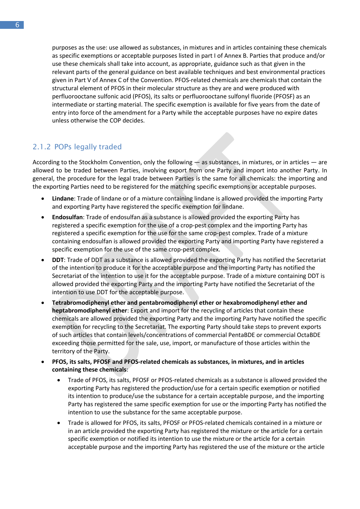purposes as the use: use allowed as substances, in mixtures and in articles containing these chemicals as specific exemptions or acceptable purposes listed in part I of Annex B. Parties that produce and/or use these chemicals shall take into account, as appropriate, guidance such as that given in the relevant parts of the general guidance on best available techniques and best environmental practices given in Part V of Annex C of the Convention. PFOS-related chemicals are chemicals that contain the structural element of PFOS in their molecular structure as they are and were produced with perfluorooctane sulfonic acid (PFOS), its salts or perfluorooctane sulfonyl fluoride (PFOSF) as an intermediate or starting material. The specific exemption is available for five years from the date of entry into force of the amendment for a Party while the acceptable purposes have no expire dates unless otherwise the COP decides.

# <span id="page-9-0"></span>2.1.2 POPs legally traded

According to the Stockholm Convention, only the following ― as substances, in mixtures, or in articles ― are allowed to be traded between Parties, involving export from one Party and import into another Party. In general, the procedure for the legal trade between Parties is the same for all chemicals: the importing and the exporting Parties need to be registered for the matching specific exemptions or acceptable purposes.

- **Lindane**: Trade of lindane or of a mixture containing lindane is allowed provided the importing Party and exporting Party have registered the specific exemption for lindane.
- **Endosulfan**: Trade of endosulfan as a substance is allowed provided the exporting Party has registered a specific exemption for the use of a crop-pest complex and the importing Party has registered a specific exemption for the use for the same crop-pest complex. Trade of a mixture containing endosulfan is allowed provided the exporting Party and importing Party have registered a specific exemption for the use of the same crop-pest complex.
- **DDT**: Trade of DDT as a substance is allowed provided the exporting Party has notified the Secretariat of the intention to produce it for the acceptable purpose and the importing Party has notified the Secretariat of the intention to use it for the acceptable purpose. Trade of a mixture containing DDT is allowed provided the exporting Party and the importing Party have notified the Secretariat of the intention to use DDT for the acceptable purpose.
- **Tetrabromodiphenyl ether and pentabromodiphenyl ether or hexabromodiphenyl ether and heptabromodiphenyl ether**: Export and import for the recycling of articles that contain these chemicals are allowed provided the exporting Party and the importing Party have notified the specific exemption for recycling to the Secretariat. The exporting Party should take steps to prevent exports of such articles that contain levels/concentrations of commercial PentaBDE or commercial OctaBDE exceeding those permitted for the sale, use, import, or manufacture of those articles within the territory of the Party.
- **PFOS, its salts, PFOSF and PFOS-related chemicals as substances, in mixtures, and in articles containing these chemicals**:
	- Trade of PFOS, its salts, PFOSF or PFOS-related chemicals as a substance is allowed provided the exporting Party has registered the production/use for a certain specific exemption or notified its intention to produce/use the substance for a certain acceptable purpose, and the importing Party has registered the same specific exemption for use or the importing Party has notified the intention to use the substance for the same acceptable purpose.
	- Trade is allowed for PFOS, its salts, PFOSF or PFOS-related chemicals contained in a mixture or in an article provided the exporting Party has registered the mixture or the article for a certain specific exemption or notified its intention to use the mixture or the article for a certain acceptable purpose and the importing Party has registered the use of the mixture or the article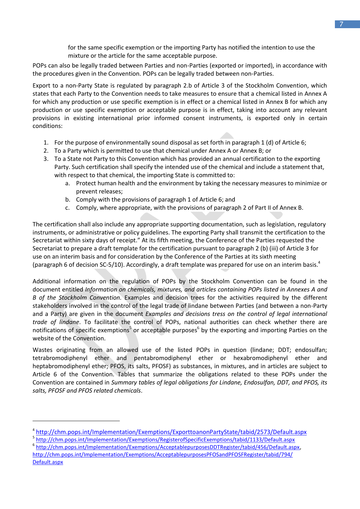for the same specific exemption or the importing Party has notified the intention to use the mixture or the article for the same acceptable purpose.

POPs can also be legally traded between Parties and non-Parties (exported or imported), in accordance with the procedures given in the Convention. POPs can be legally traded between non-Parties.

Export to a non-Party State is regulated by paragraph 2.b of Article 3 of the Stockholm Convention, which states that each Party to the Convention needs to take measures to ensure that a chemical listed in Annex A for which any production or use specific exemption is in effect or a chemical listed in Annex B for which any production or use specific exemption or acceptable purpose is in effect, taking into account any relevant provisions in existing international prior informed consent instruments, is exported only in certain conditions:

- 1. For the purpose of environmentally sound disposal as set forth in paragraph 1 (d) of Article 6;
- 2. To a Party which is permitted to use that chemical under Annex A or Annex B; or
- 3. To a State not Party to this Convention which has provided an annual certification to the exporting Party. Such certification shall specify the intended use of the chemical and include a statement that, with respect to that chemical, the importing State is committed to:
	- a. Protect human health and the environment by taking the necessary measures to minimize or prevent releases;
	- b. Comply with the provisions of paragraph 1 of Article 6; and
	- c. Comply, where appropriate, with the provisions of paragraph 2 of Part II of Annex B.

The certification shall also include any appropriate supporting documentation, such as legislation, regulatory instruments, or administrative or policy guidelines. The exporting Party shall transmit the certification to the Secretariat within sixty days of receipt." At its fifth meeting, the Conference of the Parties requested the Secretariat to prepare a draft template for the certification pursuant to paragraph 2 (b) (iii) of Article 3 for use on an interim basis and for consideration by the Conference of the Parties at its sixth meeting (paragraph 6 of decision [SC-5/10\)](http://chm.pops.int/Implementation/Exemptions/ExporttoanonPartyState/tabid/2573/Default.aspx#LiveContent[SC-5/10]). Accordingly, a [draft template](http://chm.pops.int/Portals/0/download.aspx?d=UNEP-POPS-EXEM-CERTIF-IMPORT.En.doc) was prepared for use on an interim basis. 4

Additional information on the regulation of POPs by the Stockholm Convention can be found in the document entitled *Information on chemicals, mixtures, and articles containing POPs listed in Annexes A and B of the Stockholm Convention.* Examples and decision trees for the activities required by the different stakeholders involved in the control of the legal trade of lindane between Parties (and between a non-Party and a Party) are given in the document *Examples and decisions tress on the control of legal international trade of lindane*. To facilitate the control of POPs, national authorities can check whether there are notifications of specific exemptions<sup>5</sup> or acceptable purposes<sup>6</sup> by the exporting and importing Parties on the website of the Convention.

Wastes originating from an allowed use of the listed POPs in question (lindane; DDT; endosulfan; tetrabromodiphenyl ether and pentabromodiphenyl ether or hexabromodiphenyl ether and heptabromodiphenyl ether; PFOS, its salts, PFOSF) as substances, in mixtures, and in articles are subject to Article 6 of the Convention. Tables that summarize the obligations related to these POPs under the Convention are contained in *Summary tables of legal obligations for Lindane, Endosulfan, DDT, and PFOS, its salts, PFOSF and PFOS related chemicals*.

-

6 [http://chm.pops.int/Implementation/Exemptions/AcceptablepurposesDDTRegister/tabid/456/Default.aspx,](http://chm.pops.int/Implementation/Exemptions/AcceptablepurposesDDTRegister/tabid/456/Default.aspx) [http://chm.pops.int/Implementation/Exemptions/AcceptablepurposesPFOSandPFOSFRegister/tabid/794/](http://chm.pops.int/Implementation/Exemptions/AcceptablepurposesPFOSandPFOSFRegister/tabid/794/Default.aspx) [Default.aspx](http://chm.pops.int/Implementation/Exemptions/AcceptablepurposesPFOSandPFOSFRegister/tabid/794/Default.aspx) 

<sup>4</sup> <http://chm.pops.int/Implementation/Exemptions/ExporttoanonPartyState/tabid/2573/Default.aspx>

<sup>5</sup> <http://chm.pops.int/Implementation/Exemptions/RegisterofSpecificExemptions/tabid/1133/Default.aspx>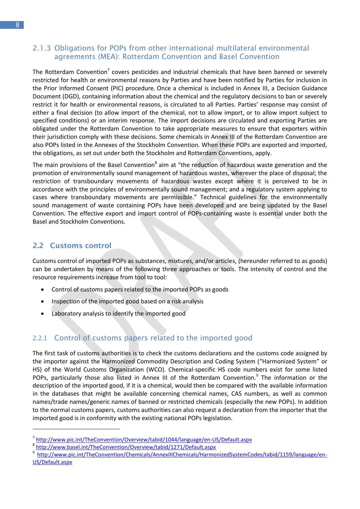#### <span id="page-11-0"></span>2.1.3 Obligations for POPs from other international multilateral environmental agreements (MEA): Rotterdam Convention and Basel Convention

The Rotterdam Convention<sup>7</sup> covers pesticides and industrial chemicals that have been banned or severely restricted for health or environmental reasons by Parties and have been notified by Parties for inclusion in the Prior Informed Consent (PIC) procedure. Once a chemical is included in Annex III, a Decision Guidance Document (DGD), containing information about the chemical and the regulatory decisions to ban or severely restrict it for health or environmental reasons, is circulated to all Parties. Parties' response may consist of either a final decision (to allow import of the chemical, not to allow import, or to allow import subject to specified conditions) or an interim response. The import decisions are circulated and exporting Parties are obligated under the Rotterdam Convention to take appropriate measures to ensure that exporters within their jurisdiction comply with these decisions. Some chemicals in Annex III of the Rotterdam Convention are also POPs listed in the Annexes of the Stockholm Convention. When these POPs are exported and imported, the obligations, as set out under both the Stockholm and Rotterdam Conventions, apply.

The main provisions of the Basel Convention<sup>8</sup> aim at "the reduction of hazardous waste generation and the promotion of environmentally sound management of hazardous wastes, wherever the place of disposal; the restriction of transboundary movements of hazardous wastes except where it is perceived to be in accordance with the principles of environmentally sound management; and a regulatory system applying to cases where transboundary movements are permissible." Technical guidelines for the environmentally sound management of waste containing POPs have been developed and are being updated by the Basel Convention. The effective export and import control of POPs-containing waste is essential under both the Basel and Stockholm Conventions.

## <span id="page-11-1"></span>**2.2 Customs control**

-

Customs control of imported POPs as substances, mixtures, and/or articles, (hereunder referred to as goods) can be undertaken by means of the following three approaches or tools. The intensity of control and the resource requirements increase from tool to tool:

- Control of customs papers related to the imported POPs as goods
- Inspection of the imported good based on a risk analysis
- Laboratory analysis to identify the imported good

# <span id="page-11-2"></span>2.2.1 Control of customs papers related to the imported good

The first task of customs authorities is to check the customs declarations and the customs code assigned by the importer against the Harmonized Commodity Description and Coding System ("Harmonized System" or HS) of the World Customs Organization (WCO). Chemical-specific HS code numbers exist for some listed POPs, particularly those also listed in Annex III of the Rotterdam Convention.<sup>9</sup> The information or the description of the imported good, if it is a chemical, would then be compared with the available information in the databases that might be available concerning chemical names, CAS numbers, as well as common names/trade names/generic names of banned or restricted chemicals (especially the new POPs). In addition to the normal customs papers, customs authorities can also request a declaration from the importer that the imported good is in conformity with the existing national POPs legislation.

<sup>&</sup>lt;sup>7</sup> http://www.pic.int/TheConvention/Overview/tabid/1044/language/en-US/Default.aspx

<sup>8</sup> http://www.basel.int/TheConvention/Overview/tabid/1271/Default.aspx

<sup>&</sup>lt;sup>9</sup> [http://www.pic.int/TheConvention/Chemicals/AnnexIIIChemicals/HarmonizedSystemCodes/tabid/1159/language/en-](http://www.pic.int/TheConvention/Chemicals/AnnexIIIChemicals/HarmonizedSystemCodes/tabid/1159/language/en-US/Default.aspx)[US/Default.aspx](http://www.pic.int/TheConvention/Chemicals/AnnexIIIChemicals/HarmonizedSystemCodes/tabid/1159/language/en-US/Default.aspx)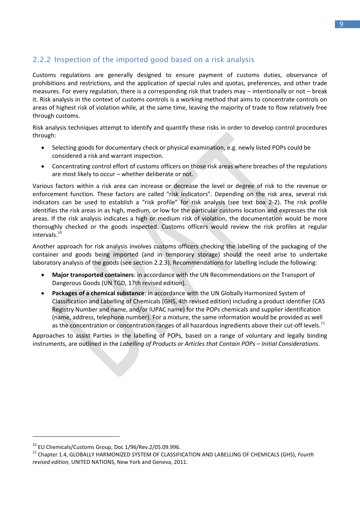# <span id="page-12-0"></span>2.2.2 Inspection of the imported good based on a risk analysis

Customs regulations are generally designed to ensure payment of customs duties, observance of prohibitions and restrictions, and the application of special rules and quotas, preferences, and other trade measures. For every regulation, there is a corresponding risk that traders may – intentionally or not – break it. Risk analysis in the context of customs controls is a working method that aims to concentrate controls on areas of highest risk of violation while, at the same time, leaving the majority of trade to flow relatively free through customs.

Risk analysis techniques attempt to identify and quantify these risks in order to develop control procedures through:

- Selecting goods for documentary check or physical examination, e.g. newly listed POPs could be considered a risk and warrant inspection.
- Concentrating control effort of customs officers on those risk areas where breaches of the regulations are most likely to occur – whether deliberate or not.

Various factors within a risk area can increase or decrease the level or degree of risk to the revenue or enforcement function. These factors are called "risk indicators". Depending on the risk area, several risk indicators can be used to establish a "risk profile" for risk analysis (see text box 2-2). The risk profile identifies the risk areas in as high, medium, or low for the particular customs location and expresses the risk areas. If the risk analysis indicates a high or medium risk of violation, the documentation would be more thoroughly checked or the goods inspected. Customs officers would review the risk profiles at regular intervals. $^{10}$ 

Another approach for risk analysis involves customs officers checking the labelling of the packaging of the container and goods being imported (and in temporary storage) should the need arise to undertake laboratory analysis of the goods (see section 2.2.3). Recommendations for labelling include the following:

- **Major transported containers**: in accordance with the UN Recommendations on the Transport of Dangerous Goods (UN TGD, 17th revised edition).
- **Packages of a chemical substance**: in accordance with the UN Globally Harmonized System of Classification and Labelling of Chemicals (GHS, 4th revised edition) including a product identifier (CAS Registry Number and name, and/or IUPAC name) for the POPs chemicals and supplier identification (name, address, telephone number). For a mixture, the same information would be provided as well as the concentration or concentration ranges of all hazardous ingredients above their cut-off levels.<sup>11</sup>

Approaches to assist Parties in the labelling of POPs, based on a range of voluntary and legally binding instruments, are outlined in the *Labelling of Products or Articles that Contain POPs – Initial Considerations*.

1

<sup>&</sup>lt;sup>10</sup> EU Chemicals/Customs Group, Doc 1/96/Rev.2/05.09.996.

<sup>11</sup> Chapter 1.4, GLOBALLY HARMONIZED SYSTEM OF CLASSIFICATION AND LABELLING OF CHEMICALS (GHS), *Fourth revised edition,* UNITED NATIONS, New York and Geneva, 2011.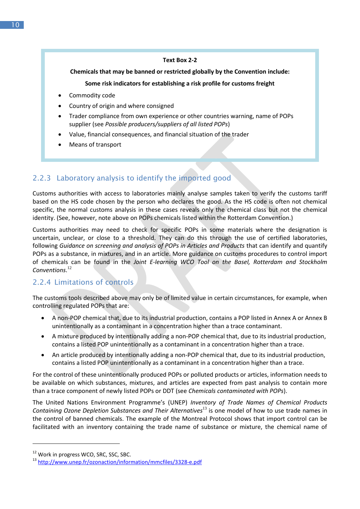#### **Text Box 2-2**

#### **Chemicals that may be banned or restricted globally by the Convention include:**

#### **Some risk indicators for establishing a risk profile for customs freight**

- Commodity code
- Country of origin and where consigned
- Trader compliance from own experience or other countries warning, name of POPs supplier (see *Possible producers/suppliers of all listed POPs*)
- Value, financial consequences, and financial situation of the trader
- Means of transport

# <span id="page-13-0"></span>2.2.3 Laboratory analysis to identify the imported good

Customs authorities with access to laboratories mainly analyse samples taken to verify the customs tariff based on the HS code chosen by the person who declares the good. As the HS code is often not chemical specific, the normal customs analysis in these cases reveals only the chemical class but not the chemical identity. (See, however, note above on POPs chemicals listed within the Rotterdam Convention.)

Customs authorities may need to check for specific POPs in some materials where the designation is uncertain, unclear, or close to a threshold. They can do this through the use of certified laboratories, following *Guidance on screening and analysis of POPs in Articles and Products* that can identify and quantify POPs as a substance, in mixtures, and in an article. More guidance on customs procedures to control import of chemicals can be found in the *Joint E-learning WCO Tool on the Basel, Rotterdam and Stockholm Conventions*. 12

# <span id="page-13-1"></span>2.2.4 Limitations of controls

The customs tools described above may only be of limited value in certain circumstances, for example, when controlling regulated POPs that are:

- A non-POP chemical that, due to its industrial production, contains a POP listed in Annex A or Annex B unintentionally as a contaminant in a concentration higher than a trace contaminant.
- A mixture produced by intentionally adding a non-POP chemical that, due to its industrial production, contains a listed POP unintentionally as a contaminant in a concentration higher than a trace.
- An article produced by intentionally adding a non-POP chemical that, due to its industrial production, contains a listed POP unintentionally as a contaminant in a concentration higher than a trace.

For the control of these unintentionally produced POPs or polluted products or articles, information needs to be available on which substances, mixtures, and articles are expected from past analysis to contain more than a trace component of newly listed POPs or DDT (see *Chemicals contaminated with POPs*).

The United Nations Environment Programme's (UNEP) *Inventory of Trade Names of Chemical Products Containing Ozone Depletion Substances and Their Alternatives*<sup>13</sup> is one model of how to use trade names in the control of banned chemicals. The example of the Montreal Protocol shows that import control can be facilitated with an inventory containing the trade name of substance or mixture, the chemical name of

1

<sup>&</sup>lt;sup>12</sup> Work in progress WCO, SRC, SSC, SBC.

<sup>13</sup> <http://www.unep.fr/ozonaction/information/mmcfiles/3328-e.pdf>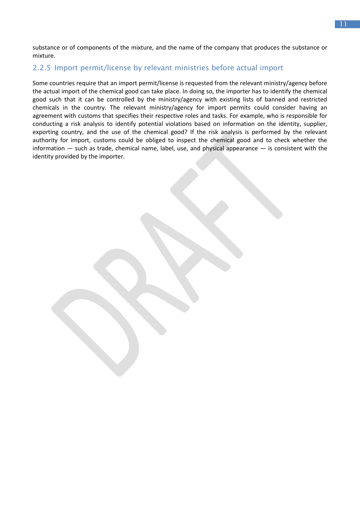substance or of components of the mixture, and the name of the company that produces the substance or mixture.

## <span id="page-14-0"></span>2.2.5 Import permit/license by relevant ministries before actual import

Some countries require that an import permit/license is requested from the relevant ministry/agency before the actual import of the chemical good can take place. In doing so, the importer has to identify the chemical good such that it can be controlled by the ministry/agency with existing lists of banned and restricted chemicals in the country. The relevant ministry/agency for import permits could consider having an agreement with customs that specifies their respective roles and tasks. For example, who is responsible for conducting a risk analysis to identify potential violations based on information on the identity, supplier, exporting country, and the use of the chemical good? If the risk analysis is performed by the relevant authority for import, customs could be obliged to inspect the chemical good and to check whether the information ― such as trade, chemical name, label, use, and physical appearance ― is consistent with the identity provided by the importer.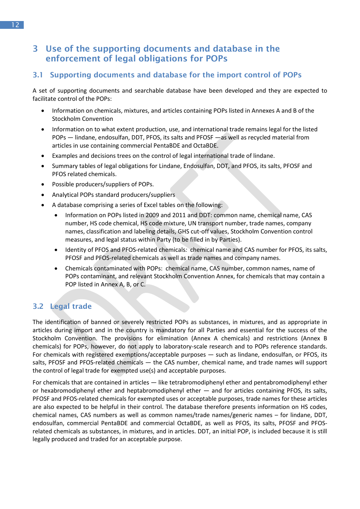# <span id="page-15-0"></span>**3 Use of the supporting documents and database in the enforcement of legal obligations for POPs**

# <span id="page-15-1"></span>**3.1 Supporting documents and database for the import control of POPs**

A set of supporting documents and searchable database have been developed and they are expected to facilitate control of the POPs:

- Information on chemicals, mixtures, and articles containing POPs listed in Annexes A and B of the Stockholm Convention
- Information on to what extent production, use, and international trade remains legal for the listed POPs ― lindane, endosulfan, DDT, PFOS, its salts and PFOSF ―as well as recycled material from articles in use containing commercial PentaBDE and OctaBDE.
- Examples and decisions trees on the control of legal international trade of lindane.
- Summary tables of legal obligations for Lindane, Endosulfan, DDT, and PFOS, its salts, PFOSF and PFOS related chemicals.
- Possible producers/suppliers of POPs.
- Analytical POPs standard producers/suppliers
- A database comprising a series of Excel tables on the following:
	- Information on POPs listed in 2009 and 2011 and DDT: common name, chemical name, CAS number, HS code chemical, HS code mixture, UN transport number, trade names, company names, classification and labeling details, GHS cut-off values, Stockholm Convention control measures, and legal status within Party (to be filled in by Parties).
	- Identity of PFOS and PFOS-related chemicals*:* chemical name and CAS number for PFOS, its salts, PFOSF and PFOS-related chemicals as well as trade names and company names.
	- Chemicals contaminated with POPs: chemical name, CAS number, common names, name of POPs contaminant, and relevant Stockholm Convention Annex, for chemicals that may contain a POP listed in Annex A, B, or C.

# <span id="page-15-2"></span>**3.2 Legal trade**

The identification of banned or severely restricted POPs as substances, in mixtures, and as appropriate in articles during import and in the country is mandatory for all Parties and essential for the success of the Stockholm Convention. The provisions for elimination (Annex A chemicals) and restrictions (Annex B chemicals) for POPs, however, do not apply to laboratory-scale research and to POPs reference standards. For chemicals with registered exemptions/acceptable purposes ― such as lindane, endosulfan, or PFOS, its salts, PFOSF and PFOS-related chemicals ― the CAS number, chemical name, and trade names will support the control of legal trade for exempted use(s) and acceptable purposes.

For chemicals that are contained in articles ― like tetrabromodiphenyl ether and pentabromodiphenyl ether or hexabromodiphenyl ether and heptabromodiphenyl ether ― and for articles containing PFOS, its salts, PFOSF and PFOS-related chemicals for exempted uses or acceptable purposes, trade names for these articles are also expected to be helpful in their control. The database therefore presents information on HS codes, chemical names, CAS numbers as well as common names/trade names/generic names – for lindane, DDT, endosulfan, commercial PentaBDE and commercial OctaBDE, as well as PFOS, its salts, PFOSF and PFOSrelated chemicals as substances, in mixtures, and in articles. DDT, an initial POP, is included because it is still legally produced and traded for an acceptable purpose.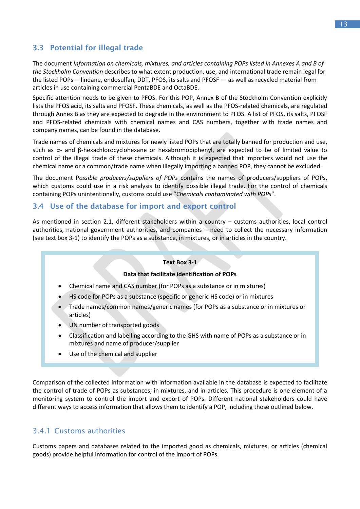# <span id="page-16-0"></span>**3.3 Potential for illegal trade**

The document *Information on chemicals, mixtures, and articles containing POPs listed in Annexes A and B of the Stockholm Convention* describes to what extent production, use, and international trade remain legal for the listed POPs ―lindane, endosulfan, DDT, PFOS, its salts and PFOSF ― as well as recycled material from articles in use containing commercial PentaBDE and OctaBDE.

Specific attention needs to be given to PFOS. For this POP, Annex B of the Stockholm Convention explicitly lists the PFOS acid, its salts and PFOSF. These chemicals, as well as the PFOS-related chemicals, are regulated through Annex B as they are expected to degrade in the environment to PFOS. A list of PFOS, its salts, PFOSF and PFOS-related chemicals with chemical names and CAS numbers, together with trade names and company names, can be found in the database.

Trade names of chemicals and mixtures for newly listed POPs that are totally banned for production and use, such as α- and β-hexachlorocyclohexane or hexabromobiphenyl, are expected to be of limited value to control of the illegal trade of these chemicals. Although it is expected that importers would not use the chemical name or a common/trade name when illegally importing a banned POP, they cannot be excluded.

The document P*ossible producers/suppliers of POPs* contains the names of producers/suppliers of POPs, which customs could use in a risk analysis to identify possible illegal trade. For the control of chemicals containing POPs unintentionally, customs could use "*Chemicals contaminated with POPs*".

### <span id="page-16-1"></span>**3.4 Use of the database for import and export control**

As mentioned in section 2.1, different stakeholders within a country – customs authorities, local control authorities, national government authorities, and companies – need to collect the necessary information (see text box 3-1) to identify the POPs as a substance, in mixtures, or in articles in the country.

#### **Text Box 3-1**

#### **Data that facilitate identification of POPs**

- Chemical name and CAS number (for POPs as a substance or in mixtures)
- HS code for POPs as a substance (specific or generic HS code) or in mixtures
- Trade names/common names/generic names (for POPs as a substance or in mixtures or articles)
- UN number of transported goods
- Classification and labelling according to the GHS with name of POPs as a substance or in mixtures and name of producer/supplier
- Use of the chemical and supplier

Comparison of the collected information with information available in the database is expected to facilitate the control of trade of POPs as substances, in mixtures, and in articles. This procedure is one element of a monitoring system to control the import and export of POPs. Different national stakeholders could have different ways to access information that allows them to identify a POP, including those outlined below.

# <span id="page-16-2"></span>3.4.1 Customs authorities

Customs papers and databases related to the imported good as chemicals, mixtures, or articles (chemical goods) provide helpful information for control of the import of POPs.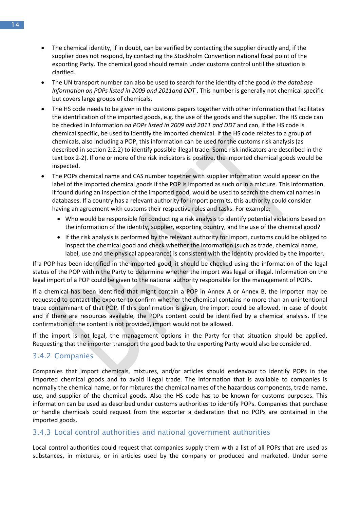- The chemical identity, if in doubt, can be verified by contacting the supplier directly and, if the supplier does not respond, by contacting the Stockholm Convention national focal point of the exporting Party. The chemical good should remain under customs control until the situation is clarified.
- The UN transport number can also be used to search for the identity of the good *in the database Information on POPs listed in 2009 and 2011and DDT* . This number is generally not chemical specific but covers large groups of chemicals.
- The HS code needs to be given in the customs papers together with other information that facilitates the identification of the imported goods, e.g. the use of the goods and the supplier. The HS code can be checked in Information *on POPs listed in 2009 and 2011 and DDT* and can, if the HS code is chemical specific, be used to identify the imported chemical. If the HS code relates to a group of chemicals, also including a POP, this information can be used for the customs risk analysis (as described in section 2.2.2) to identify possible illegal trade. Some risk indicators are described in the text box 2-2). If one or more of the risk indicators is positive, the imported chemical goods would be inspected.
- The POPs chemical name and CAS number together with supplier information would appear on the label of the imported chemical goods if the POP is imported as such or in a mixture. This information, if found during an inspection of the imported good, would be used to search the chemical names in databases. If a country has a relevant authority for import permits, this authority could consider having an agreement with customs their respective roles and tasks. For example:
	- Who would be responsible for conducting a risk analysis to identify potential violations based on the information of the identity, supplier, exporting country, and the use of the chemical good?
	- If the risk analysis is performed by the relevant authority for import, customs could be obliged to inspect the chemical good and check whether the information (such as trade, chemical name, label, use and the physical appearance) is consistent with the identity provided by the importer.

If a POP has been identified in the imported good, it should be checked using the information of the legal status of the POP within the Party to determine whether the import was legal or illegal. Information on the legal import of a POP could be given to the national authority responsible for the management of POPs.

If a chemical has been identified that might contain a POP in Annex A or Annex B, the importer may be requested to contact the exporter to confirm whether the chemical contains no more than an unintentional trace contaminant of that POP. If this confirmation is given, the import could be allowed. In case of doubt and if there are resources available, the POPs content could be identified by a chemical analysis. If the confirmation of the content is not provided, import would not be allowed.

If the import is not legal, the management options in the Party for that situation should be applied. Requesting that the importer transport the good back to the exporting Party would also be considered.

# <span id="page-17-0"></span>3.4.2 Companies

Companies that import chemicals, mixtures, and/or articles should endeavour to identify POPs in the imported chemical goods and to avoid illegal trade. The information that is available to companies is normally the chemical name, or for mixtures the chemical names of the hazardous components, trade name, use, and supplier of the chemical goods. Also the HS code has to be known for customs purposes. This information can be used as described under customs authorities to identify POPs. Companies that purchase or handle chemicals could request from the exporter a declaration that no POPs are contained in the imported goods.

# <span id="page-17-1"></span>3.4.3 Local control authorities and national government authorities

Local control authorities could request that companies supply them with a list of all POPs that are used as substances, in mixtures, or in articles used by the company or produced and marketed. Under some